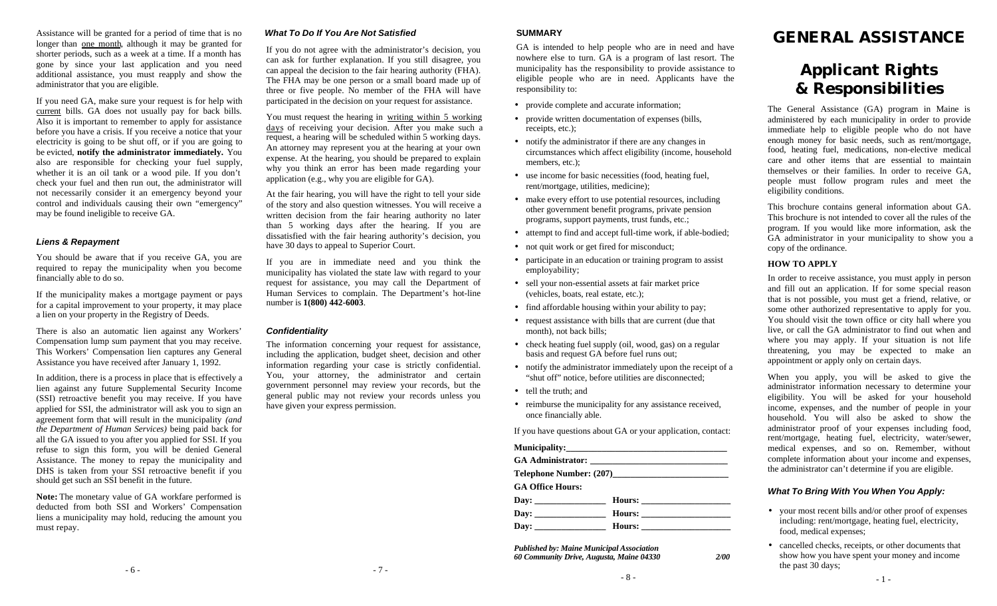Assistance will be granted for a period of time that is no longer than one month, although it may be granted for shorter periods, such as a week at a time. If a month has gone by since your last application and you need additional assistance, you must reapply and show the administrator that you are eligible.

If you need GA, make sure your request is for help with current bills. GA does not usually pay for back bills. Also it is important to remember to apply for assistance before you have a crisis. If you receive a notice that your electricity is going to be shut off, or if you are going to be evicted, **notify the administrator immediately.** You also are responsible for checking your fuel supply, whether it is an oil tank or a wood pile. If you don't check your fuel and then run out, the administrator will not necessarily consider it an emergency beyond your control and individuals causing their own "emergency" may be found ineligible to receive GA.

#### *Liens & Repayment*

You should be aware that if you receive GA, you are required to repay the municipality when you become financially able to do so.

If the municipality makes a mortgage payment or pays for a capital improvement to your property, it may place a lien on your property in the Registry of Deeds.

There is also an automatic lien against any Workers' Compensation lump sum payment that you may receive. This Workers' Compensation lien captures any General Assistance you have received after January 1, 1992.

In addition, there is a process in place that is effectively a lien against any future Supplemental Security Income (SSI) retroactive benefit you may receive. If you have applied for SSI, the administrator will ask you to sign an agreement form that will result in the municipality *(and the Department of Human Services)* being paid back for all the GA issued to you after you applied for SSI. If you refuse to sign this form, you will be denied General Assistance. The money to repay the municipality and DHS is taken from your SSI retroactive benefit if you should get such an SSI benefit in the future.

**Note:** The monetary value of GA workfare performed is deducted from both SSI and Workers' Compensation liens a municipality may hold, reducing the amount you must repay.

#### *What To Do If You Are Not Satisfied*

If you do not agree with the administrator's decision, you can ask for further explanation. If you still disagree, you can appeal the decision to the fair hearing authority (FHA). The FHA may be one person or a small board made up of three or five people. No member of the FHA will have participated in the decision on your request for assistance.

You must request the hearing in writing within 5 working days of receiving your decision. After you make such a request, a hearing will be scheduled within 5 working days. An attorney may represent you at the hearing at your own expense. At the hearing, you should be prepared to explain why you think an error has been made regarding your application (e.g., why you are eligible for GA).

At the fair hearing, you will have the right to tell your side of the story and also question witnesses. You will receive a written decision from the fair hearing authority no later than 5 working days after the hearing. If you are dissatisfied with the fair hearing authority's decision, you have 30 days to appeal to Superior Court.

If you are in immediate need and you think the municipality has violated the state law with regard to your request for assistance, you may call the Department of Human Services to complain. The Department's hot-line number is **1(800) 442-6003**.

#### *Confidentiality*

The information concerning your request for assistance, including the application, budget sheet, decision and other information regarding your case is strictly confidential. You, your attorney, the administrator and certain government personnel may review your records, but the general public may not review your records unless you have given your express permission.

# **SUMMARY**

GA is intended to help people who are in need and have nowhere else to turn. GA is a program of last resort. The municipality has the responsibility to provide assistance to eligible people who are in need. Applicants have the responsibility to:

- provide complete and accurate information;
- provide written documentation of expenses (bills, receipts, etc.);
- notify the administrator if there are any changes in circumstances which affect eligibility (income, household members, etc.):
- use income for basic necessities (food, heating fuel, rent/mortgage, utilities, medicine);
- make every effort to use potential resources, including other government benefit programs, private pension programs, support payments, trust funds, etc.;
- attempt to find and accept full-time work, if able-bodied;
- not quit work or get fired for misconduct;
- participate in an education or training program to assist employability;
- sell your non-essential assets at fair market price (vehicles, boats, real estate, etc.);
- find affordable housing within your ability to pay;
- request assistance with bills that are current (due that month), not back bills;
- check heating fuel supply (oil, wood, gas) on a regular basis and request GA before fuel runs out;
- notify the administrator immediately upon the receipt of a "shut off" notice, before utilities are disconnected;
- tell the truth; and
- reimburse the municipality for any assistance received, once financially able.

If you have questions about GA or your application, contact:

| <b>GA Office Hours:</b>     |  |
|-----------------------------|--|
| Day: ___________________    |  |
| Day: $\qquad \qquad \qquad$ |  |
| Day: $\qquad \qquad \qquad$ |  |
|                             |  |

*Published by: Maine Municipal Association 60 Community Drive, Augusta, Maine 04330 2/00*

# **GENERAL ASSISTANCE**

# **Applicant Rights & Responsibilities**

The General Assistance (GA) program in Maine is administered by each municipality in order to provide immediate help to eligible people who do not have enough money for basic needs, such as rent/mortgage, food, heating fuel, medications, non-elective medical care and other items that are essential to maintain themselves or their families. In order to receive GA, people must follow program rules and meet the eligibility conditions.

This brochure contains general information about GA. This brochure is not intended to cover all the rules of the program. If you would like more information, ask the GA administrator in your municipality to show you a copy of the ordinance.

# **HOW TO APPLY**

In order to receive assistance, you must apply in person and fill out an application. If for some special reason that is not possible, you must get a friend, relative, or some other authorized representative to apply for you. You should visit the town office or city hall where you live, or call the GA administrator to find out when and where you may apply. If your situation is not life threatening, you may be expected to make an appointment or apply only on certain days.

When you apply, you will be asked to give the administrator information necessary to determine your eligibility. You will be asked for your household income, expenses, and the number of people in your household. You will also be asked to show the administrator proof of your expenses including food, rent/mortgage, heating fuel, electricity, water/sewer, medical expenses, and so on. Remember, without complete information about your income and expenses, the administrator can't determine if you are eligible.

#### *What To Bring With You When You Apply:*

- your most recent bills and/or other proof of expenses including: rent/mortgage, heating fuel, electricity, food, medical expenses;
- cancelled checks, receipts, or other documents that show how you have spent your money and income the past 30 days;

 $-1 -$